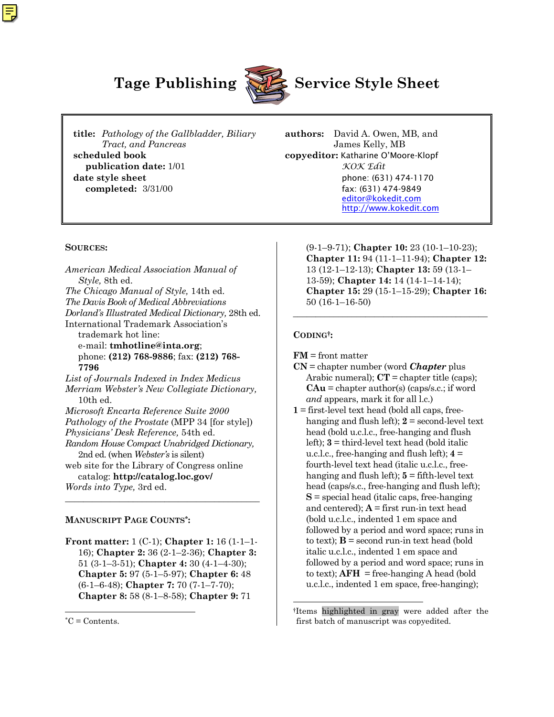

# **Tage Publishing Service Style Sheet**

**title:** *Pathology of the Gallbladder, Biliary* **authors:** David A. Owen, MB, and *Tract, and Pancreas* James Kelly, MB **scheduled book copyeditor:** Katharine O'Moore-Klopf **publication date:** 1/01 *KOK Edit* **date style sheet** phone: (631) 474-1170 **completed:**  $3/31/00$  fax: (631) 474-9849

[editor@kokedit.com](mailto:editor@kokedit.com) <http://www.kokedit.com>

#### **SOURCES:**

*American Medical Association Manual of Style,* 8th ed. *The Chicago Manual of Style,* 14th ed. *The Davis Book of Medical Abbreviations Dorland's Illustrated Medical Dictionary,* 28th ed. International Trademark Association's trademark hot line: e-mail: **tmhotline@inta.org**; phone: **(212) 768-9886**; fax: **(212) 768- 7796** *List of Journals Indexed in Index Medicus Merriam Webster's New Collegiate Dictionary,* 10th ed. *Microsoft Encarta Reference Suite 2000 Pathology of the Prostate* (MPP 34 [for style]) *Physicians' Desk Reference,* 54th ed. *Random House Compact Unabridged Dictionary,* 2nd ed. (when *Webster's* is silent) web site for the Library of Congress online catalog: **http://catalog.loc.gov/**

*Words into Type,* 3rd ed.

#### **MANUSCRIPT PAGE COUNTS\*:**

**Front matter:** 1 (C-1); **Chapter 1:** 16 (1-1–1- 16); **Chapter 2:** 36 (2-1–2-36); **Chapter 3:** 51 (3-1–3-51); **Chapter 4:** 30 (4-1–4-30); **Chapter 5:** 97 (5-1–5-97); **Chapter 6:** 48 (6-1–6-48); **Chapter 7:** 70 (7-1–7-70); **Chapter 8:** 58 (8-1–8-58); **Chapter 9:** 71

\_\_\_\_\_\_\_\_\_\_\_\_\_\_\_\_\_\_\_\_\_\_\_\_\_\_\_\_\_\_\_\_\_\_\_\_\_\_\_\_\_\_\_

1

(9-1–9-71); **Chapter 10:** 23 (10-1–10-23); **Chapter 11:** 94 (11-1–11-94); **Chapter 12:** 13 (12-1–12-13); **Chapter 13:** 59 (13-1– 13-59); **Chapter 14:** 14 (14-1–14-14); **Chapter 15:** 29 (15-1–15-29); **Chapter 16:** 50 (16-1–16-50)

\_\_\_\_\_\_\_\_\_\_\_\_\_\_\_\_\_\_\_\_\_\_\_\_\_\_\_\_\_\_\_\_\_\_\_\_\_\_\_\_\_\_\_

#### **CODING†:**

l

**FM** = front matter

- **CN** = chapter number (word *Chapter* plus Arabic numeral);  $CT =$  chapter title (caps); **CAu** = chapter author(s) (caps/s.c.; if word *and* appears, mark it for all l.c.)
- **1** = first-level text head (bold all caps, freehanging and flush left);  $2 =$  second-level text head (bold u.c.l.c., free-hanging and flush left); **3** = third-level text head (bold italic u.c.l.c., free-hanging and flush left); **4** = fourth-level text head (italic u.c.l.c., freehanging and flush left);  $5 =$  fifth-level text head (caps/s.c., free-hanging and flush left); **S** = special head (italic caps, free-hanging and centered);  $A =$  first run-in text head (bold u.c.l.c., indented 1 em space and followed by a period and word space; runs in to text);  $\mathbf{B}$  = second run-in text head (bold italic u.c.l.c., indented 1 em space and followed by a period and word space; runs in to text);  $AFH = free-hanging A head (bold)$ u.c.l.c., indented 1 em space, free-hanging);

<sup>\*</sup>C = Contents.

<sup>†</sup>Items highlighted in gray were added after the first batch of manuscript was copyedited.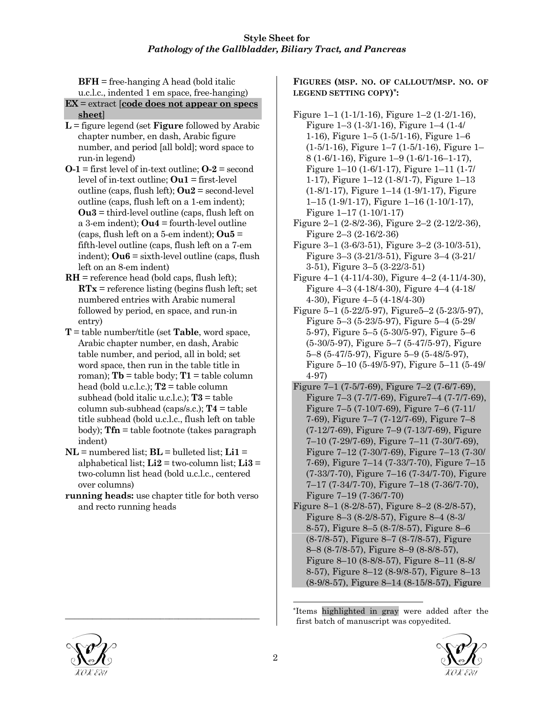**BFH** = free-hanging A head (bold italic u.c.l.c., indented 1 em space, free-hanging)

- **EX** = extract [**code does not appear on specs sheet**]
- **L** = figure legend (set **Figure** followed by Arabic chapter number, en dash, Arabic figure number, and period [all bold]; word space to run-in legend)
- **O-1** = first level of in-text outline; **O-2** = second level of in-text outline; **Ou1** = first-level outline (caps, flush left); **Ou2** = second-level outline (caps, flush left on a 1-em indent); **Ou3** = third-level outline (caps, flush left on a 3-em indent); **Ou4** = fourth-level outline (caps, flush left on a 5-em indent); **Ou5** = fifth-level outline (caps, flush left on a 7-em indent); **Ou6** = sixth-level outline (caps, flush left on an 8-em indent)
- **RH** = reference head (bold caps, flush left); **RTx** = reference listing (begins flush left; set numbered entries with Arabic numeral followed by period, en space, and run-in entry)
- **T** = table number/title (set **Table**, word space, Arabic chapter number, en dash, Arabic table number, and period, all in bold; set word space, then run in the table title in roman);  $\mathbf{T}\mathbf{b} = \text{table body}; \mathbf{T}\mathbf{1} = \text{table column}$ head (bold u.c.l.c.); **T2** = table column subhead (bold italic u.c.l.c.); **T3** = table column sub-subhead (caps/s.c.); **T4** = table title subhead (bold u.c.l.c., flush left on table body); **Tfn** = table footnote (takes paragraph indent)
- $NL =$  numbered list;  $BL =$  bulleted list;  $Li1 =$ alphabetical list;  $\text{Li2} =$  two-column list;  $\text{Li3} =$ two-column list head (bold u.c.l.c., centered over columns)
- **running heads:** use chapter title for both verso and recto running heads

\_\_\_\_\_\_\_\_\_\_\_\_\_\_\_\_\_\_\_\_\_\_\_\_\_\_\_\_\_\_\_\_\_\_\_\_\_\_\_\_\_\_\_

**FIGURES (MSP. NO. OF CALLOUT/MSP. NO. OF LEGEND SETTING COPY)\*:**

- Figure 1–1 (1-1/1-16), Figure 1–2 (1-2/1-16), Figure 1–3 (1-3/1-16), Figure 1–4 (1-4/ 1-16), Figure 1–5 (1-5/1-16), Figure 1–6  $(1-5/1-16)$ , Figure 1–7  $(1-5/1-16)$ , Figure 1– 8 (1-6/1-16), Figure 1–9 (1-6/1-16–1-17), Figure 1–10 (1-6/1-17), Figure 1–11 (1-7/ 1-17), Figure 1–12 (1-8/1-7), Figure 1–13 (1-8/1-17), Figure 1–14 (1-9/1-17), Figure 1–15 (1-9/1-17), Figure 1–16 (1-10/1-17), Figure 1–17 (1-10/1-17)
- Figure 2–1 (2-8/2-36), Figure 2–2 (2-12/2-36), Figure 2–3 (2-16/2-36)
- Figure 3–1 (3-6/3-51), Figure 3–2 (3-10/3-51), Figure 3–3 (3-21/3-51), Figure 3–4 (3-21/ 3-51), Figure 3–5 (3-22/3-51)
- Figure 4–1 (4-11/4-30), Figure 4–2 (4-11/4-30), Figure 4–3 (4-18/4-30), Figure 4–4 (4-18/ 4-30), Figure 4–5 (4-18/4-30)
- Figure 5–1 (5-22/5-97), Figure5–2 (5-23/5-97), Figure 5–3 (5-23/5-97), Figure 5–4 (5-29/ 5-97), Figure 5–5 (5-30/5-97), Figure 5–6 (5-30/5-97), Figure 5–7 (5-47/5-97), Figure 5–8 (5-47/5-97), Figure 5–9 (5-48/5-97), Figure 5–10 (5-49/5-97), Figure 5–11 (5-49/ 4-97)
- Figure 7–1 (7-5/7-69), Figure 7–2 (7-6/7-69), Figure 7–3 (7-7/7-69), Figure7–4 (7-7/7-69), Figure 7–5 (7-10/7-69), Figure 7–6 (7-11/ 7-69), Figure 7–7 (7-12/7-69), Figure 7–8 (7-12/7-69), Figure 7–9 (7-13/7-69), Figure 7–10 (7-29/7-69), Figure 7–11 (7-30/7-69), Figure 7–12 (7-30/7-69), Figure 7–13 (7-30/ 7-69), Figure 7–14 (7-33/7-70), Figure 7–15 (7-33/7-70), Figure 7–16 (7-34/7-70), Figure 7–17 (7-34/7-70), Figure 7–18 (7-36/7-70), Figure 7–19 (7-36/7-70)
- Figure 8–1 (8-2/8-57), Figure 8–2 (8-2/8-57), Figure 8–3 (8-2/8-57), Figure 8–4 (8-3/ 8-57), Figure 8–5 (8-7/8-57), Figure 8–6 (8-7/8-57), Figure 8–7 (8-7/8-57), Figure 8–8 (8-7/8-57), Figure 8–9 (8-8/8-57), Figure 8–10 (8-8/8-57), Figure 8–11 (8-8/ 8-57), Figure 8–12 (8-9/8-57), Figure 8–13 (8-9/8-57), Figure 8–14 (8-15/8-57), Figure

\*Items highlighted in gray were added after the first batch of manuscript was copyedited.





l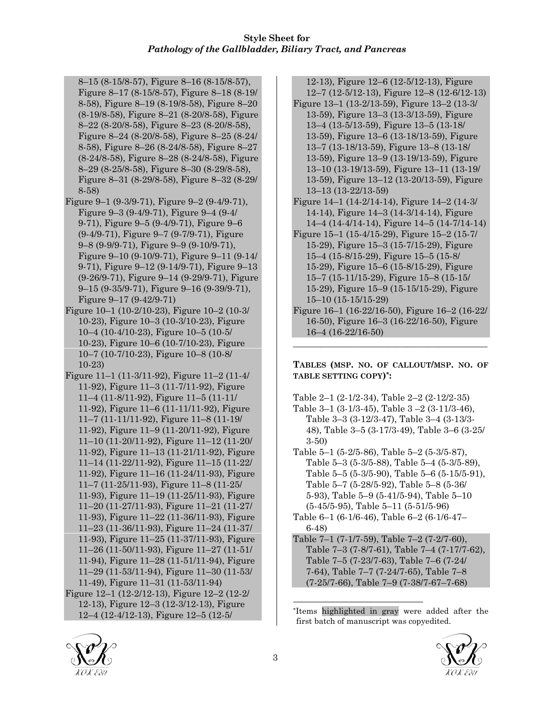- 8–15 (8-15/8-57), Figure 8–16 (8-15/8-57), Figure 8–17 (8-15/8-57), Figure 8–18 (8-19/ 8-58), Figure 8–19 (8-19/8-58), Figure 8–20 (8-19/8-58), Figure 8–21 (8-20/8-58), Figure 8–22 (8-20/8-58), Figure 8–23 (8-20/8-58), Figure 8–24 (8-20/8-58), Figure 8–25 (8-24/ 8-58), Figure 8–26 (8-24/8-58), Figure 8–27 (8-24/8-58), Figure 8–28 (8-24/8-58), Figure 8–29 (8-25/8-58), Figure 8–30 (8-29/8-58), Figure 8–31 (8-29/8-58), Figure 8–32 (8-29/ 8-58)
- Figure 9–1 (9-3/9-71), Figure 9–2 (9-4/9-71), Figure 9–3 (9-4/9-71), Figure 9–4 (9-4/ 9-71), Figure 9–5 (9-4/9-71), Figure 9–6 (9-4/9-71), Figure 9–7 (9-7/9-71), Figure 9–8 (9-9/9-71), Figure 9–9 (9-10/9-71), Figure 9–10 (9-10/9-71), Figure 9–11 (9-14/ 9-71), Figure 9–12 (9-14/9-71), Figure 9–13 (9-26/9-71), Figure 9–14 (9-29/9-71), Figure 9–15 (9-35/9-71), Figure 9–16 (9-39/9-71), Figure 9–17 (9-42/9-71)
- Figure 10–1 (10-2/10-23), Figure 10–2 (10-3/ 10-23), Figure 10–3 (10-3/10-23), Figure 10–4 (10-4/10-23), Figure 10–5 (10-5/ 10-23), Figure 10–6 (10-7/10-23), Figure 10–7 (10-7/10-23), Figure 10–8 (10-8/ 10-23)
- Figure 11–1 (11-3/11-92), Figure 11–2 (11-4/ 11-92), Figure 11–3 (11-7/11-92), Figure 11–4 (11-8/11-92), Figure 11–5 (11-11/ 11-92), Figure 11–6 (11-11/11-92), Figure 11–7 (11-11/11-92), Figure 11–8 (11-19/ 11-92), Figure 11–9 (11-20/11-92), Figure 11–10 (11-20/11-92), Figure 11–12 (11-20/ 11-92), Figure 11–13 (11-21/11-92), Figure 11–14 (11-22/11-92), Figure 11–15 (11-22/ 11-92), Figure 11–16 (11-24/11-93), Figure 11–7 (11-25/11-93), Figure 11–8 (11-25/ 11-93), Figure 11–19 (11-25/11-93), Figure 11–20 (11-27/11-93), Figure 11–21 (11-27/ 11-93), Figure 11–22 (11-36/11-93), Figure 11–23 (11-36/11-93), Figure 11–24 (11-37/ 11-93), Figure 11–25 (11-37/11-93), Figure 11–26 (11-50/11-93), Figure 11–27 (11-51/ 11-94), Figure 11–28 (11-51/11-94), Figure 11–29 (11-53/11-94), Figure 11–30 (11-53/ 11-49), Figure 11–31 (11-53/11-94)
- Figure 12–1 (12-2/12-13), Figure 12–2 (12-2/ 12-13), Figure 12–3 (12-3/12-13), Figure 12–4 (12-4/12-13), Figure 12–5 (12-5/

12-13), Figure 12–6 (12-5/12-13), Figure 12–7 (12-5/12-13), Figure 12–8 (12-6/12-13)

- Figure 13–1 (13-2/13-59), Figure 13–2 (13-3/ 13-59), Figure 13–3 (13-3/13-59), Figure 13–4 (13-5/13-59), Figure 13–5 (13-18/ 13-59), Figure 13–6 (13-18/13-59), Figure 13–7 (13-18/13-59), Figure 13–8 (13-18/ 13-59), Figure 13–9 (13-19/13-59), Figure 13–10 (13-19/13-59), Figure 13–11 (13-19/ 13-59), Figure 13–12 (13-20/13-59), Figure 13–13 (13-22/13-59)
- Figure 14–1 (14-2/14-14), Figure 14–2 (14-3/ 14-14), Figure 14–3 (14-3/14-14), Figure 14–4 (14-4/14-14), Figure 14–5 (14-7/14-14)
- Figure 15–1 (15-4/15-29), Figure 15–2 (15-7/ 15-29), Figure 15–3 (15-7/15-29), Figure 15–4 (15-8/15-29), Figure 15–5 (15-8/ 15-29), Figure 15–6 (15-8/15-29), Figure 15–7 (15-11/15-29), Figure 15–8 (15-15/ 15-29), Figure 15–9 (15-15/15-29), Figure 15–10 (15-15/15-29)
- Figure 16–1 (16-22/16-50), Figure 16–2 (16-22/ 16-50), Figure 16–3 (16-22/16-50), Figure 16–4 (16-22/16-50)

\_\_\_\_\_\_\_\_\_\_\_\_\_\_\_\_\_\_\_\_\_\_\_\_\_\_\_\_\_\_\_\_\_\_\_\_\_\_\_\_\_\_\_

**TABLES (MSP. NO. OF CALLOUT/MSP. NO. OF TABLE SETTING COPY)\*:**

Table 2–1 (2-1/2-34), Table 2–2 (2-12/2-35) Table 3–1 (3-1/3-45), Table 3 –2 (3-11/3-46), Table 3–3 (3-12/3-47), Table 3–4 (3-13/3- 48), Table 3–5 (3-17/3-49), Table 3–6 (3-25/ 3-50)

Table 5–1 (5-2/5-86), Table 5–2 (5-3/5-87), Table 5–3 (5-3/5-88), Table 5–4 (5-3/5-89), Table 5–5 (5-3/5-90), Table 5–6 (5-15/5-91), Table 5–7 (5-28/5-92), Table 5–8 (5-36/ 5-93), Table 5–9 (5-41/5-94), Table 5–10 (5-45/5-95), Table 5–11 (5-51/5-96)

- Table 6–1 (6-1/6-46), Table 6–2 (6-1/6-47– 6-48)
- Table 7–1 (7-1/7-59), Table 7–2 (7-2/7-60), Table 7–3 (7-8/7-61), Table 7–4 (7-17/7-62), Table 7–5 (7-23/7-63), Table 7–6 (7-24/ 7-64), Table 7–7 (7-24/7-65), Table 7–8 (7-25/7-66), Table 7–9 (7-38/7-67–7-68)

<sup>\*</sup>Items highlighted in gray were added after the first batch of manuscript was copyedited.





l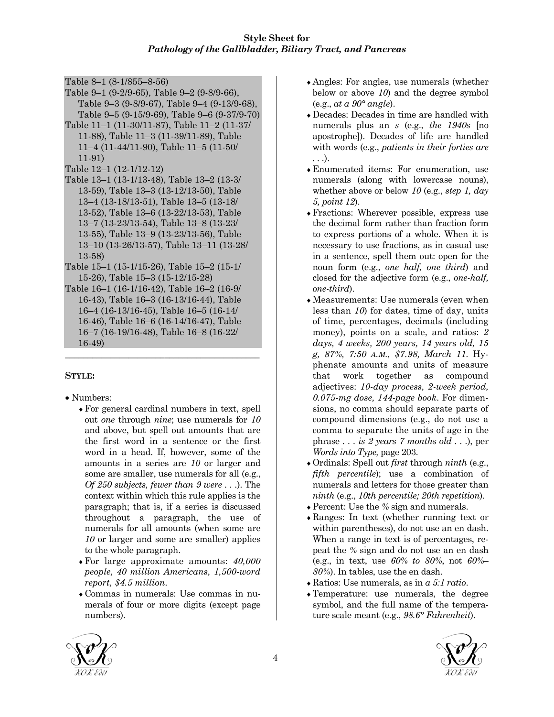Table 8–1 (8-1/855–8-56)

- Table 9–1 (9-2/9-65), Table 9–2 (9-8/9-66), Table 9–3 (9-8/9-67), Table 9–4 (9-13/9-68), Table 9–5 (9-15/9-69), Table 9–6 (9-37/9-70)
- Table 11–1 (11-30/11-87), Table 11–2 (11-37/ 11-88), Table 11–3 (11-39/11-89), Table 11–4 (11-44/11-90), Table 11–5 (11-50/ 11-91)
- Table 12–1 (12-1/12-12)
- Table 13–1 (13-1/13-48), Table 13–2 (13-3/ 13-59), Table 13–3 (13-12/13-50), Table 13–4 (13-18/13-51), Table 13–5 (13-18/ 13-52), Table 13–6 (13-22/13-53), Table 13–7 (13-23/13-54), Table 13–8 (13-23/ 13-55), Table 13–9 (13-23/13-56), Table 13–10 (13-26/13-57), Table 13–11 (13-28/ 13-58)
- Table 15–1 (15-1/15-26), Table 15–2 (15-1/ 15-26), Table 15–3 (15-12/15-28)
- Table 16–1 (16-1/16-42), Table 16–2 (16-9/ 16-43), Table 16–3 (16-13/16-44), Table 16–4 (16-13/16-45), Table 16–5 (16-14/ 16-46), Table 16–6 (16-14/16-47), Table 16–7 (16-19/16-48), Table 16–8 (16-22/ 16-49)

\_\_\_\_\_\_\_\_\_\_\_\_\_\_\_\_\_\_\_\_\_\_\_\_\_\_\_\_\_\_\_\_\_\_\_\_\_\_\_\_\_\_\_

# **STYLE:**

- Numbers:
	- ♦For general cardinal numbers in text, spell out *one* through *nine*; use numerals for *10* and above, but spell out amounts that are the first word in a sentence or the first word in a head. If, however, some of the amounts in a series are *10* or larger and some are smaller, use numerals for all (e.g., *Of 250 subjects, fewer than 9 were . . .*). The context within which this rule applies is the paragraph; that is, if a series is discussed throughout a paragraph, the use of numerals for all amounts (when some are *10* or larger and some are smaller) applies to the whole paragraph.
	- ♦For large approximate amounts: *40,000 people, 40 million Americans, 1,500-word report, \$4.5 million*.
	- ♦Commas in numerals: Use commas in numerals of four or more digits (except page numbers).
- ♦Angles: For angles, use numerals (whether below or above *10*) and the degree symbol (e.g., *at a 90° angle*).
- ♦Decades: Decades in time are handled with numerals plus an *s* (e.g., *the 1940s* [no apostrophe]). Decades of life are handled with words (e.g., *patients in their forties are . . .*).
- ♦Enumerated items: For enumeration, use numerals (along with lowercase nouns), whether above or below *10* (e.g., *step 1, day 5, point 12*).
- ♦Fractions: Wherever possible, express use the decimal form rather than fraction form to express portions of a whole. When it is necessary to use fractions, as in casual use in a sentence, spell them out: open for the noun form (e.g., *one half, one third*) and closed for the adjective form (e.g., *one-half, one-third*).
- ♦Measurements: Use numerals (even when less than *10*) for dates, time of day, units of time, percentages, decimals (including money), points on a scale, and ratios: *2 days, 4 weeks, 200 years, 14 years old, 15 g, 87%, 7:50 A.M., \$7.98, March 11.* Hyphenate amounts and units of measure that work together as compound adjectives: *10-day process, 2-week period, 0.075-mg dose, 144-page book*. For dimensions, no comma should separate parts of compound dimensions (e.g., do not use a comma to separate the units of age in the phrase *. . . is 2 years 7 months old . . .*), per *Words into Type,* page 203.
- ♦Ordinals: Spell out *first* through *ninth* (e.g., *fifth percentile*); use a combination of numerals and letters for those greater than *ninth* (e.g., *10th percentile; 20th repetition*).
- ♦Percent: Use the *%* sign and numerals.
- ♦Ranges: In text (whether running text or within parentheses), do not use an en dash. When a range in text is of percentages, repeat the *%* sign and do not use an en dash (e.g., in text, use *60% to 80%*, not *60%– 80%*). In tables, use the en dash.
- ♦Ratios: Use numerals, as in *a 5:1 ratio*.
- ♦Temperature: use numerals, the degree symbol, and the full name of the temperature scale meant (e.g., *98.6° Fahrenheit*).



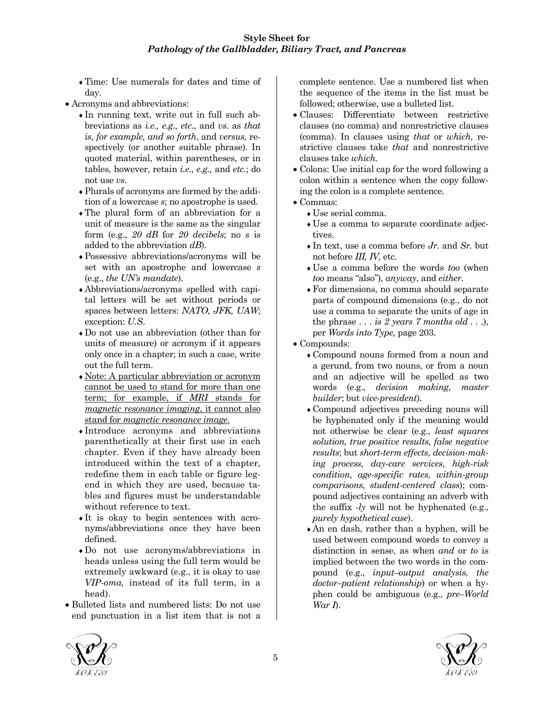♦Time: Use numerals for dates and time of day.

- Acronyms and abbreviations:
	- ♦In running text, write out in full such abbreviations as *i.e., e.g., etc*., and *vs*. as *that is, for example, and so forth*, and *versus,* respectively (or another suitable phrase). In quoted material, within parentheses, or in tables, however, retain *i.e., e.g.,* and *etc.*; do not use *vs*.
	- ♦Plurals of acronyms are formed by the addition of a lowercase *s*; no apostrophe is used.
	- ♦The plural form of an abbreviation for a unit of measure is the same as the singular form (e.g., *20 dB* for *20 decibels*; no *s* is added to the abbreviation *dB*).
	- ♦Possessive abbreviations/acronyms will be set with an apostrophe and lowercase *s* (e.g., *the UN's mandate*).
	- ♦Abbreviations/acronyms spelled with capital letters will be set without periods or spaces between letters: *NATO, JFK, UAW*; exception: *U.S*.
	- ♦Do not use an abbreviation (other than for units of measure) or acronym if it appears only once in a chapter; in such a case, write out the full term.
	- ♦Note: A particular abbreviation or acronym cannot be used to stand for more than one term; for example, if *MRI* stands for *magnetic resonance imaging*, it cannot also stand for *magnetic resonance image*.
	- ♦Introduce acronyms and abbreviations parenthetically at their first use in each chapter. Even if they have already been introduced within the text of a chapter, redefine them in each table or figure legend in which they are used, because tables and figures must be understandable without reference to text.
	- ♦It is okay to begin sentences with acronyms/abbreviations once they have been defined.
	- ♦Do not use acronyms/abbreviations in heads unless using the full term would be extremely awkward (e.g., it is okay to use *VIP-oma,* instead of its full term, in a head).
- Bulleted lists and numbered lists: Do not use end punctuation in a list item that is not a

complete sentence. Use a numbered list when the sequence of the items in the list must be followed; otherwise, use a bulleted list.

- Clauses: Differentiate between restrictive clauses (no comma) and nonrestrictive clauses (comma). In clauses using *that* or *which,* restrictive clauses take *that* and nonrestrictive clauses take *which.*
- Colons: Use initial cap for the word following a colon within a sentence when the copy following the colon is a complete sentence.
- Commas:
	- ♦Use serial comma.
	- ♦Use a comma to separate coordinate adjectives.
	- $\bullet$  In text, use a comma before *Jr*. and *Sr*, but not before *III, IV,* etc.
	- ♦Use a comma before the words *too* (when *too* means "also")*, anyway*, and *either*.
	- ♦For dimensions, no comma should separate parts of compound dimensions (e.g., do not use a comma to separate the units of age in the phrase *. . . is 2 years 7 months old . . .*), per *Words into Type,* page 203.
- Compounds:
	- ♦Compound nouns formed from a noun and a gerund, from two nouns, or from a noun and an adjective will be spelled as two words (e.g., *decision making, master builder*; but *vice-president*).
	- ♦Compound adjectives preceding nouns will be hyphenated only if the meaning would not otherwise be clear (e.g., *least squares solution, true positive results, false negative results*; but *short-term effects, decision-making process, day-care services, high-risk condition, age-specific rates, within-group comparisons, student-centered class*); compound adjectives containing an adverb with the suffix *-ly* will not be hyphenated (e.g., *purely hypothetical case*).
	- ♦An en dash, rather than a hyphen, will be used between compound words to convey a distinction in sense, as when *and* or *to* is implied between the two words in the compound (e.g., *input–output analysis, the doctor–patient relationship*) or when a hyphen could be ambiguous (e.g., *pre–World War I*).



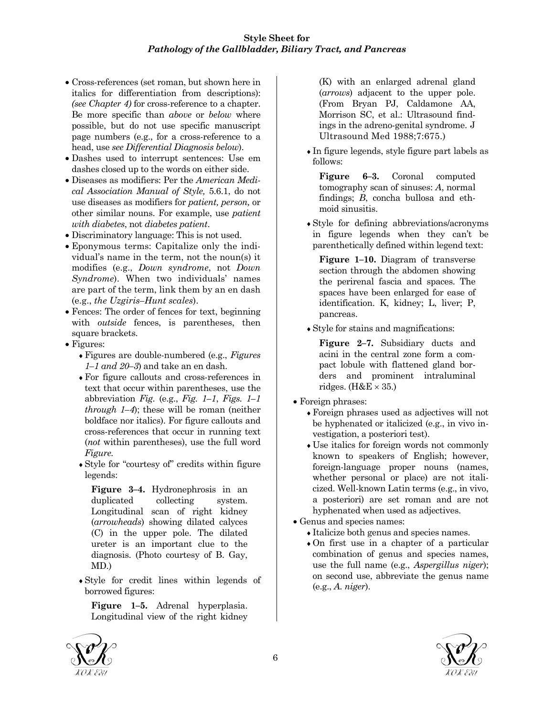- Cross-references (set roman, but shown here in italics for differentiation from descriptions): *(see Chapter 4)* for cross-reference to a chapter. Be more specific than *above* or *below* where possible, but do not use specific manuscript page numbers (e.g., for a cross-reference to a head, use *see Differential Diagnosis below*).
- Dashes used to interrupt sentences: Use em dashes closed up to the words on either side.
- Diseases as modifiers: Per the *American Medical Association Manual of Style,* 5.6.1, do not use diseases as modifiers for *patient, person,* or other similar nouns. For example, use *patient with diabetes*, not *diabetes patient*.
- Discriminatory language: This is not used.
- Eponymous terms: Capitalize only the individual's name in the term, not the noun(s) it modifies (e.g., *Down syndrome*, not *Down Syndrome*). When two individuals' names are part of the term, link them by an en dash (e.g., *the Uzgiris–Hunt scales*).
- Fences: The order of fences for text, beginning with *outside* fences, is parentheses, then square brackets.
- Figures:
	- ♦Figures are double-numbered (e.g., *Figures 1–1 and 20–3*) and take an en dash.
	- ♦For figure callouts and cross-references in text that occur within parentheses, use the abbreviation *Fig.* (e.g., *Fig. 1–1*, *Figs. 1–1 through 1–4*); these will be roman (neither boldface nor italics). For figure callouts and cross-references that occur in running text (*not* within parentheses), use the full word *Figure.*
	- ♦Style for "courtesy of" credits within figure legends:

**Figure 3–4.** Hydronephrosis in an duplicated collecting system. Longitudinal scan of right kidney (*arrowheads*) showing dilated calyces (C) in the upper pole. The dilated ureter is an important clue to the diagnosis. (Photo courtesy of B. Gay, MD.)

♦Style for credit lines within legends of borrowed figures:

**Figure 1–5.** Adrenal hyperplasia. Longitudinal view of the right kidney (K) with an enlarged adrenal gland (*arrows*) adjacent to the upper pole. (From Bryan PJ, Caldamone AA, Morrison SC, et al.: Ultrasound findings in the adreno-genital syndrome. J Ultrasound Med 1988;7:675.)

♦In figure legends, style figure part labels as follows:

**Figure 6–3.** Coronal computed tomography scan of sinuses: *A*, normal findings; *B*, concha bullosa and ethmoid sinusitis.

♦Style for defining abbreviations/acronyms in figure legends when they can't be parenthetically defined within legend text:

**Figure 1–10.** Diagram of transverse section through the abdomen showing the perirenal fascia and spaces. The spaces have been enlarged for ease of identification. K, kidney; L, liver; P, pancreas.

♦Style for stains and magnifications:

**Figure 2–7.** Subsidiary ducts and acini in the central zone form a compact lobule with flattened gland borders and prominent intraluminal ridges.  $(H&E \times 35.)$ 

- Foreign phrases:
	- ♦Foreign phrases used as adjectives will not be hyphenated or italicized (e.g., in vivo investigation, a posteriori test).
	- ♦Use italics for foreign words not commonly known to speakers of English; however, foreign-language proper nouns (names, whether personal or place) are not italicized. Well-known Latin terms (e.g., in vivo, a posteriori) are set roman and are not hyphenated when used as adjectives.
- Genus and species names:
	- ♦Italicize both genus and species names.
	- ♦On first use in a chapter of a particular combination of genus and species names, use the full name (e.g., *Aspergillus niger*); on second use, abbreviate the genus name (e.g., *A. niger*).



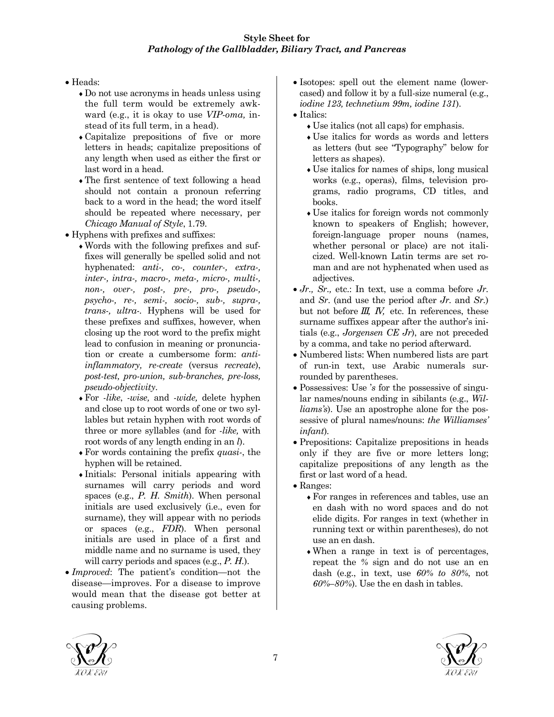#### • Heads:

- ♦Do not use acronyms in heads unless using the full term would be extremely awkward (e.g., it is okay to use *VIP-oma,* instead of its full term, in a head).
- ♦Capitalize prepositions of five or more letters in heads; capitalize prepositions of any length when used as either the first or last word in a head.
- ♦The first sentence of text following a head should not contain a pronoun referring back to a word in the head; the word itself should be repeated where necessary, per *Chicago Manual of Style*, 1.79.
- Hyphens with prefixes and suffixes:
	- ♦Words with the following prefixes and suffixes will generally be spelled solid and not hyphenated: *anti-, co-, counter-, extra-, inter-, intra-, macro-, meta-, micro-, multi-, non-, over-, post-, pre-, pro-, pseudo-, psycho-, re-, semi-, socio-, sub-, supra-, trans-, ultra-.* Hyphens will be used for these prefixes and suffixes, however, when closing up the root word to the prefix might lead to confusion in meaning or pronunciation or create a cumbersome form: *antiinflammatory, re-create* (versus *recreate*), *post-test, pro-union, sub-branches, pre-loss, pseudo-objectivity*.
	- ♦For *-like*, *-wise,* and *-wide,* delete hyphen and close up to root words of one or two syllables but retain hyphen with root words of three or more syllables (and for *-like,* with root words of any length ending in an *l*).
	- ♦For words containing the prefix *quasi-*, the hyphen will be retained.
	- ♦Initials: Personal initials appearing with surnames will carry periods and word spaces (e.g., *P. H. Smith*). When personal initials are used exclusively (i.e., even for surname), they will appear with no periods or spaces (e.g., *FDR*). When personal initials are used in place of a first and middle name and no surname is used, they will carry periods and spaces (e.g., *P. H.*).
- *Improved*: The patient's condition—not the disease—improves. For a disease to improve would mean that the disease got better at causing problems.
- Isotopes: spell out the element name (lowercased) and follow it by a full-size numeral (e.g., *iodine 123, technetium 99m, iodine 131*).
- Italics:
	- ♦Use italics (not all caps) for emphasis.
	- Use italics for words as words and letters as letters (but see "Typography" below for letters as shapes).
	- ♦Use italics for names of ships, long musical works (e.g., operas), films, television programs, radio programs, CD titles, and books.
	- ♦Use italics for foreign words not commonly known to speakers of English; however, foreign-language proper nouns (names, whether personal or place) are not italicized. Well-known Latin terms are set roman and are not hyphenated when used as adjectives.
- *Jr., Sr.,* etc.: In text, use a comma before *Jr.* and *Sr*. (and use the period after *Jr.* and *Sr.*) but not before *III, IV,* etc. In references, these surname suffixes appear after the author's initials (e.g., *Jorgensen CE Jr*), are not preceded by a comma, and take no period afterward.
- Numbered lists: When numbered lists are part of run-in text, use Arabic numerals surrounded by parentheses.
- Possessives: Use '*s* for the possessive of singular names/nouns ending in sibilants (e.g., *Williams's*). Use an apostrophe alone for the possessive of plural names/nouns: *the Williamses' infant*)*.*
- Prepositions: Capitalize prepositions in heads only if they are five or more letters long; capitalize prepositions of any length as the first or last word of a head.
- Ranges:
	- ♦For ranges in references and tables, use an en dash with no word spaces and do not elide digits. For ranges in text (whether in running text or within parentheses), do not use an en dash.
	- ♦When a range in text is of percentages, repeat the *%* sign and do not use an en dash (e.g., in text, use *60% to 80%*, not *60%–80%*). Use the en dash in tables.



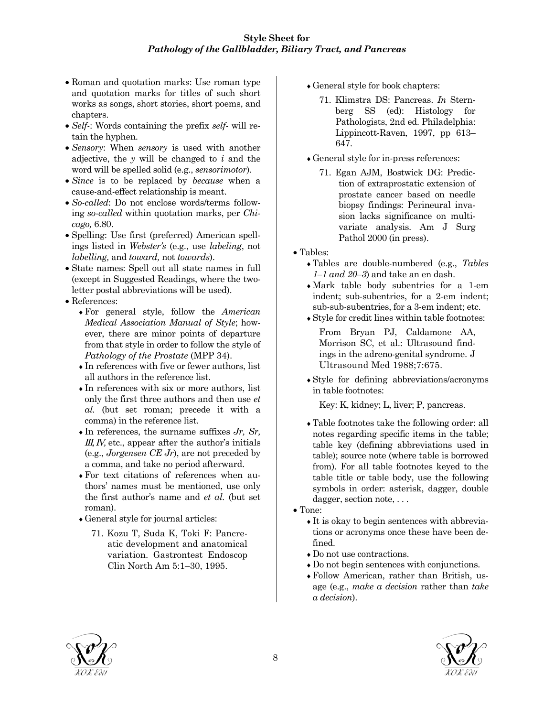- Roman and quotation marks: Use roman type and quotation marks for titles of such short works as songs, short stories, short poems, and chapters.
- *Self-*: Words containing the prefix *self-* will retain the hyphen.
- *Sensory*: When *sensory* is used with another adjective, the *y* will be changed to *i* and the word will be spelled solid (e.g., *sensorimotor*).
- *Since* is to be replaced by *because* when a cause-and-effect relationship is meant.
- *So-called*: Do not enclose words/terms following *so-called* within quotation marks, per *Chicago,* 6.80.
- Spelling: Use first (preferred) American spellings listed in *Webster's* (e.g., use *labeling*, not *labelling,* and *toward,* not *towards*).
- State names: Spell out all state names in full (except in Suggested Readings, where the twoletter postal abbreviations will be used).
- References:
	- ♦For general style, follow the *American Medical Association Manual of Style*; however, there are minor points of departure from that style in order to follow the style of *Pathology of the Prostate* (MPP 34).
	- ♦In references with five or fewer authors, list all authors in the reference list.
	- ♦In references with six or more authors, list only the first three authors and then use *et al.* (but set roman; precede it with a comma) in the reference list.
	- $\bullet$  In references, the surname suffixes  $J_r$ ,  $Sr$ , *III, IV, etc., appear after the author's initials* (e.g., *Jorgensen CE Jr*), are not preceded by a comma, and take no period afterward.
	- ♦For text citations of references when authors' names must be mentioned, use only the first author's name and *et al.* (but set roman).
	- ♦General style for journal articles:
		- 71. Kozu T, Suda K, Toki F: Pancreatic development and anatomical variation. Gastrontest Endoscop Clin North Am 5:1–30, 1995.
- ♦General style for book chapters:
	- 71. Klimstra DS: Pancreas. *In* Sternberg SS (ed): Histology for Pathologists, 2nd ed. Philadelphia: Lippincott-Raven, 1997, pp 613– 647.
- ♦General style for in-press references:
	- 71. Egan AJM, Bostwick DG: Prediction of extraprostatic extension of prostate cancer based on needle biopsy findings: Perineural invasion lacks significance on multivariate analysis. Am J Surg Pathol 2000 (in press).
- Tables:
	- ♦Tables are double-numbered (e.g., *Tables 1–1 and 20–3*) and take an en dash.
	- ♦Mark table body subentries for a 1-em indent; sub-subentries, for a 2-em indent; sub-sub-subentries, for a 3-em indent; etc.
	- ♦Style for credit lines within table footnotes:

From Bryan PJ, Caldamone AA, Morrison SC, et al.: Ultrasound findings in the adreno-genital syndrome. J Ultrasound Med 1988;7:675.

♦Style for defining abbreviations/acronyms in table footnotes:

Key: K, kidney; L, liver; P, pancreas.

- ♦Table footnotes take the following order: all notes regarding specific items in the table; table key (defining abbreviations used in table); source note (where table is borrowed from). For all table footnotes keyed to the table title or table body, use the following symbols in order: asterisk, dagger, double dagger, section note, ...
- Tone:
	- ♦It is okay to begin sentences with abbreviations or acronyms once these have been defined.
	- Do not use contractions.
	- ♦Do not begin sentences with conjunctions.
	- ♦Follow American, rather than British, usage (e.g., *make a decision* rather than *take a decision*).



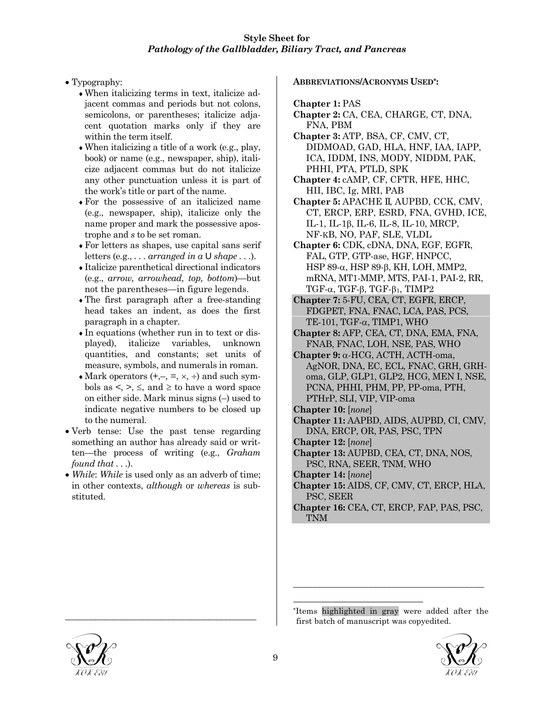- Typography:
	- ♦When italicizing terms in text, italicize adjacent commas and periods but not colons, semicolons, or parentheses; italicize adjacent quotation marks only if they are within the term itself.
	- $\bullet$  When italicizing a title of a work (e.g., play, book) or name (e.g., newspaper, ship), italicize adjacent commas but do not italicize any other punctuation unless it is part of the work's title or part of the name.
	- ♦For the possessive of an italicized name (e.g., newspaper, ship), italicize only the name proper and mark the possessive apostrophe and *s* to be set roman.
	- ♦For letters as shapes, use capital sans serif letters (e.g., *. . . arranged in a* U *shape . . .*).
	- ♦Italicize parenthetical directional indicators (e.g., *arrow, arrowhead, top, bottom*)—but not the parentheses—in figure legends.
	- ♦The first paragraph after a free-standing head takes an indent, as does the first paragraph in a chapter.
	- ♦In equations (whether run in to text or displayed), italicize variables, unknown quantities, and constants; set units of measure, symbols, and numerals in roman.
	- $\triangleleft$  Mark operators (+,-, =,  $\times$ ,  $\div$ ) and such symbols as  $\lt$ ,  $\gt$ ,  $\le$ , and  $\ge$  to have a word space on either side. Mark minus signs (–) used to indicate negative numbers to be closed up to the numeral.
- Verb tense: Use the past tense regarding something an author has already said or written—the process of writing (e.g., *Graham found that . . .*).
- *While: While* is used only as an adverb of time; in other contexts, *although* or *whereas* is substituted.

\_\_\_\_\_\_\_\_\_\_\_\_\_\_\_\_\_\_\_\_\_\_\_\_\_\_\_\_\_\_\_\_\_\_\_\_\_\_\_\_\_\_\_\_

#### **ABBREVIATIONS/ACRONYMS USED\*:**

**Chapter 1:** PAS

- **Chapter 2:** CA, CEA, CHARGE, CT, DNA, FNA, PBM
- **Chapter 3:** ATP, BSA, CF, CMV, CT, DIDMOAD, GAD, HLA, HNF, IAA, IAPP, ICA, IDDM, INS, MODY, NIDDM, PAK, PHHI, PTA, PTLD, SPK
- **Chapter 4:** cAMP, CF, CFTR, HFE, HHC, HII, IBC, Ig, MRI, PAB
- **Chapter 5:** APACHE II, AUPBD, CCK, CMV, CT, ERCP, ERP, ESRD, FNA, GVHD, ICE, IL-1, IL-1β, IL-6, IL-8, IL-10, MRCP, NF-KB, NO, PAF, SLE, VLDL
- **Chapter 6:** CDK, cDNA, DNA, EGF, EGFR, FAL, GTP, GTP-ase, HGF, HNPCC, HSP 89-α, HSP 89-β, KH, LOH, MMP2, mRNA, MT1-MMP, MTS, PAI-1, PAI-2, RR, TGF- $α$ , TGF- $β$ , TGF- $β$ <sub>1</sub>, TIMP2
- **Chapter 7:** 5-FU, CEA, CT, EGFR, ERCP, FDGPET, FNA, FNAC, LCA, PAS, PCS, TE-101, TGF-α, TIMP1, WHO
- **Chapter 8:** AFP, CEA, CT, DNA, EMA, FNA, FNAB, FNAC, LOH, NSE, PAS, WHO
- **Chapter 9:** α-HCG, ACTH, ACTH-oma, AgNOR, DNA, EC, ECL, FNAC, GRH, GRHoma, GLP, GLP1, GLP2, HCG, MEN I, NSE, PCNA, PHHI, PHM, PP, PP-oma, PTH, PTHrP, SLI, VIP, VIP-oma
- **Chapter 10:** [*none*]
- **Chapter 11:** AAPBD, AIDS, AUPBD, CI, CMV, DNA, ERCP, OR, PAS, PSC, TPN
- **Chapter 12:** [*none*]
- **Chapter 13:** AUPBD, CEA, CT, DNA, NOS, PSC, RNA, SEER, TNM, WHO

**Chapter 14:** [*none*]

- **Chapter 15:** AIDS, CF, CMV, CT, ERCP, HLA, PSC, SEER
- **Chapter 16:** CEA, CT, ERCP, FAP, PAS, PSC, TNM

\*Items highlighted in gray were added after the first batch of manuscript was copyedited.

\_\_\_\_\_\_\_\_\_\_\_\_\_\_\_\_\_\_\_\_\_\_\_\_\_\_\_\_\_\_\_\_\_\_\_\_\_\_\_\_\_\_\_\_





l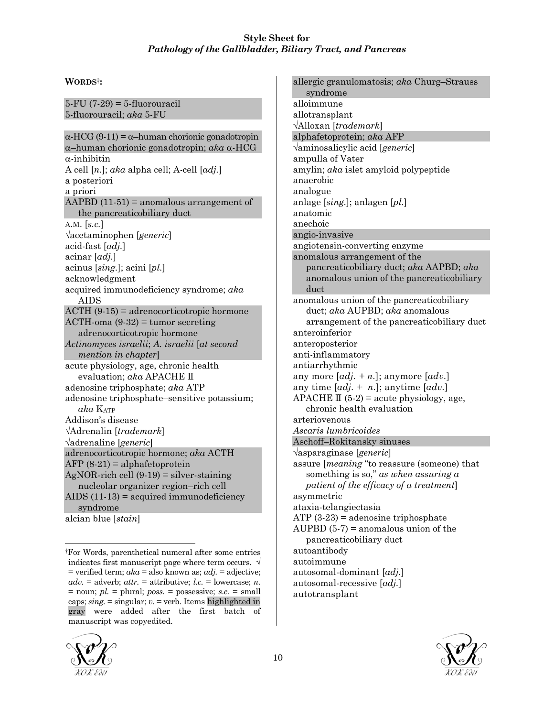# **WORDS†:**

5-FU (7-29) = 5-fluorouracil 5-fluorouracil; *aka* 5-FU

α-HCG (9-11) = α–human chorionic gonadotropin α–human chorionic gonadotropin; *aka* α-HCG  $\alpha$ -inhibitin A cell [*n.*]; *aka* alpha cell; A-cell [*adj.*] a posteriori a priori AAPBD  $(11-51)$  = anomalous arrangement of the pancreaticobiliary duct A.M. [*s.c.*] √acetaminophen [*generic*] acid-fast [*adj.*] acinar [*adj.*] acinus [*sing.*]; acini [*pl.*] acknowledgment acquired immunodeficiency syndrome; *aka* AIDS ACTH (9-15) = adrenocorticotropic hormone  $ACTH$ -oma  $(9-32)$  = tumor secreting adrenocorticotropic hormone *Actinomyces israelii*; *A. israelii* [*at second mention in chapter*] acute physiology, age, chronic health evaluation; *aka* APACHE II adenosine triphosphate; *aka* ATP adenosine triphosphate–sensitive potassium; *aka* KATP Addison's disease √Adrenalin [*trademark*] √adrenaline [*generic*] adrenocorticotropic hormone; *aka* ACTH AFP  $(8-21)$  = alphafetoprotein  $AgNOR$ -rich cell  $(9-19)$  = silver-staining nucleolar organizer region–rich cell AIDS  $(11-13)$  = acquired immunodeficiency syndrome alcian blue [*stain*]

allergic granulomatosis; *aka* Churg–Strauss syndrome alloimmune allotransplant √Alloxan [*trademark*] alphafetoprotein; *aka* AFP √aminosalicylic acid [*generic*] ampulla of Vater amylin; *aka* islet amyloid polypeptide anaerobic analogue anlage [*sing.*]; anlagen [*pl.*] anatomic anechoic angio-invasive angiotensin-converting enzyme anomalous arrangement of the pancreaticobiliary duct; *aka* AAPBD; *aka* anomalous union of the pancreaticobiliary duct anomalous union of the pancreaticobiliary duct; *aka* AUPBD; *aka* anomalous arrangement of the pancreaticobiliary duct anteroinferior anteroposterior anti-inflammatory antiarrhythmic any more [*adj. + n.*]; anymore [*adv.*] any time [*adj. + n.*]; anytime [*adv.*] APACHE  $\mathbb{I}$  (5-2) = acute physiology, age, chronic health evaluation arteriovenous *Ascaris lumbricoides* Aschoff–Rokitansky sinuses √asparaginase [*generic*] assure [*meaning* "to reassure (someone) that something is so," *as when assuring a patient of the efficacy of a treatment*] asymmetric ataxia-telangiectasia ATP  $(3-23)$  = adenosine triphosphate AUPBD  $(5-7)$  = anomalous union of the pancreaticobiliary duct autoantibody autoimmune autosomal-dominant [*adj.*] autosomal-recessive [*adj.*] autotransplant



l †For Words, parenthetical numeral after some entries indicates first manuscript page where term occurs.  $\sqrt{ }$ = verified term; *aka* = also known as; *adj.* = adjective;  $adv. =$  adverb;  $attr. =$  attributive;  $l.c. =$  lowercase; *n*. = noun; *pl.* = plural; *poss.* = possessive; *s.c.* = small caps; *sing.* = singular; *v.* = verb. Items highlighted in gray were added after the first batch of manuscript was copyedited.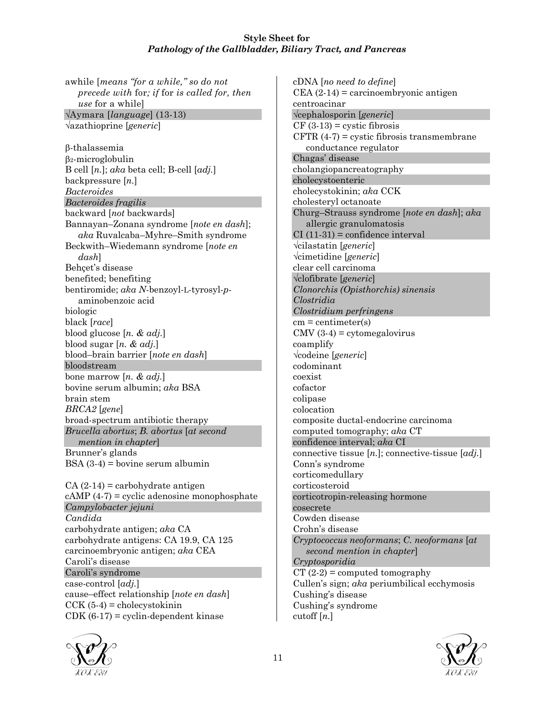awhile [*means "for a while," so do not precede with* for*; if* for *is called for, then use* for a while] √Aymara [*language*] (13-13) √azathioprine [*generic*] β-thalassemia β2-microglobulin B cell [*n.*]; *aka* beta cell; B-cell [*adj.*] backpressure [*n.*] *Bacteroides Bacteroides fragilis* backward [*not* backwards] Bannayan–Zonana syndrome [*note en dash*]; *aka* Ruvalcaba–Myhre–Smith syndrome Beckwith–Wiedemann syndrome [*note en dash*] Behçet's disease benefited; benefiting bentiromide; *aka N*-benzoyl-L-tyrosyl-*p*aminobenzoic acid biologic black [*race*] blood glucose [*n. & adj.*] blood sugar [*n. & adj.*] blood–brain barrier [*note en dash*] bloodstream bone marrow [*n. & adj.*] bovine serum albumin; *aka* BSA brain stem *BRCA2* [*gene*] broad-spectrum antibiotic therapy *Brucella abortus*; *B. abortus* [*at second mention in chapter*] Brunner's glands BSA (3-4) = bovine serum albumin  $CA(2-14) =$ carbohydrate antigen  $cAMP(4-7) = cyclic adenosine monophosphate$ 

*Campylobacter jejuni Candida* carbohydrate antigen; *aka* CA carbohydrate antigens: CA 19.9, CA 125 carcinoembryonic antigen; *aka* CEA Caroli's disease Caroli's syndrome case-control [*adj.*] cause–effect relationship [*note en dash*]  $CCK$  (5-4) = cholecystokinin  $CDK (6-17) = cyclin-dependent kinase$ 



cDNA [*no need to define*]  $CEA (2-14) =$  carcinoembryonic antigen centroacinar √cephalosporin [*generic*]  $CF (3-13) = \text{cystic fibrosis}$ CFTR  $(4-7)$  = cystic fibrosis transmembrane conductance regulator Chagas' disease cholangiopancreatography cholecystoenteric cholecystokinin; *aka* CCK cholesteryl octanoate Churg–Strauss syndrome [*note en dash*]; *aka* allergic granulomatosis  $CI(11-31) = confidence interval$ √cilastatin [*generic*] √cimetidine [*generic*] clear cell carcinoma √clofibrate [*generic*] *Clonorchis (Opisthorchis) sinensis Clostridia Clostridium perfringens*  $cm = centimeter(s)$  $CMV$  (3-4) = cytomegalovirus coamplify √codeine [*generic*] codominant coexist cofactor colipase colocation composite ductal-endocrine carcinoma computed tomography; *aka* CT confidence interval; *aka* CI connective tissue [*n.*]; connective-tissue [*adj.*] Conn's syndrome corticomedullary corticosteroid corticotropin-releasing hormone cosecrete Cowden disease Crohn's disease *Cryptococcus neoformans*; *C. neoformans* [*at second mention in chapter*] *Cryptosporidia*  $CT (2-2) = computed tomography$ Cullen's sign; *aka* periumbilical ecchymosis Cushing's disease Cushing's syndrome cutoff [*n.*]

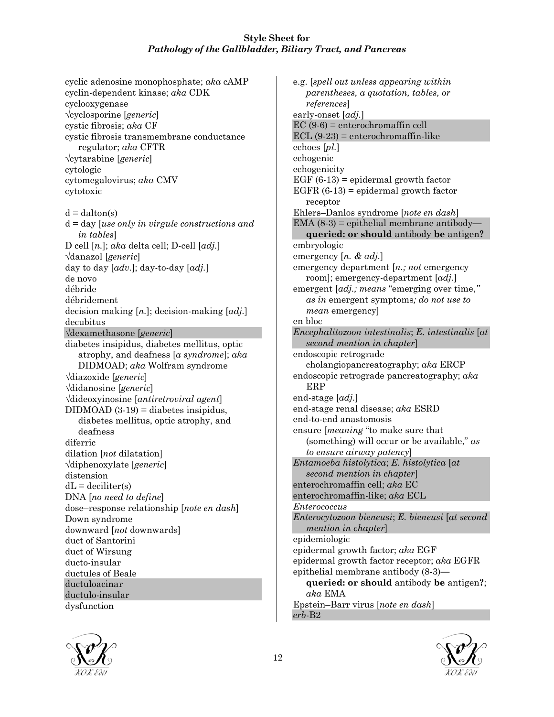cyclic adenosine monophosphate; *aka* cAMP cyclin-dependent kinase; *aka* CDK cyclooxygenase √cyclosporine [*generic*] cystic fibrosis; *aka* CF cystic fibrosis transmembrane conductance regulator; *aka* CFTR √cytarabine [*generic*] cytologic cytomegalovirus; *aka* CMV cytotoxic  $d = dalton(s)$ d = day [*use only in virgule constructions and in tables*] D cell [*n.*]; *aka* delta cell; D-cell [*adj.*] √danazol [*generic*] day to day [*adv.*]; day-to-day [*adj.*] de novo débride débridement decision making [*n.*]; decision-making [*adj.*] decubitus √dexamethasone [*generic*] diabetes insipidus, diabetes mellitus, optic atrophy, and deafness [*a syndrome*]; *aka* DIDMOAD; *aka* Wolfram syndrome √diazoxide [*generic*] √didanosine [*generic*] √dideoxyinosine [*antiretroviral agent*]  $DIDMOAD (3-19) = diabetes insipidus,$ diabetes mellitus, optic atrophy, and deafness diferric dilation [*not* dilatation] √diphenoxylate [*generic*] distension  $dL =$  deciliter(s) DNA [*no need to define*] dose–response relationship [*note en dash*] Down syndrome downward [*not* downwards] duct of Santorini duct of Wirsung ducto-insular ductules of Beale ductuloacinar ductulo-insular dysfunction

e.g. [*spell out unless appearing within parentheses, a quotation, tables, or references*] early-onset [*adj.*] EC (9-6) = enterochromaffin cell  $ECL$  (9-23) = enterochromaffin-like echoes [*pl.*] echogenic echogenicity EGF  $(6-13)$  = epidermal growth factor EGFR  $(6-13)$  = epidermal growth factor receptor Ehlers–Danlos syndrome [*note en dash*] EMA (8-3) = epithelial membrane antibody **queried: or should** antibody **be** antigen**?** embryologic emergency [*n. & adj.*] emergency department [*n.; not* emergency room]; emergency-department [*adj.*] emergent [*adj.; means* "emerging over time,*" as in* emergent symptoms*; do not use to mean* emergency] en bloc *Encephalitozoon intestinalis*; *E. intestinalis* [*at second mention in chapter*] endoscopic retrograde cholangiopancreatography; *aka* ERCP endoscopic retrograde pancreatography; *aka* ERP end-stage [*adj.*] end-stage renal disease; *aka* ESRD end-to-end anastomosis ensure [*meaning* "to make sure that (something) will occur or be available," *as to ensure airway patency*] *Entamoeba histolytica*; *E. histolytica* [*at second mention in chapter*] enterochromaffin cell; *aka* EC enterochromaffin-like; *aka* ECL *Enterococcus Enterocytozoon bieneusi*; *E. bieneusi* [*at second mention in chapter*] epidemiologic epidermal growth factor; *aka* EGF epidermal growth factor receptor; *aka* EGFR epithelial membrane antibody (8-3) **queried: or should** antibody **be** antigen**?**; *aka* EMA Epstein–Barr virus [*note en dash*] *erb*-B2



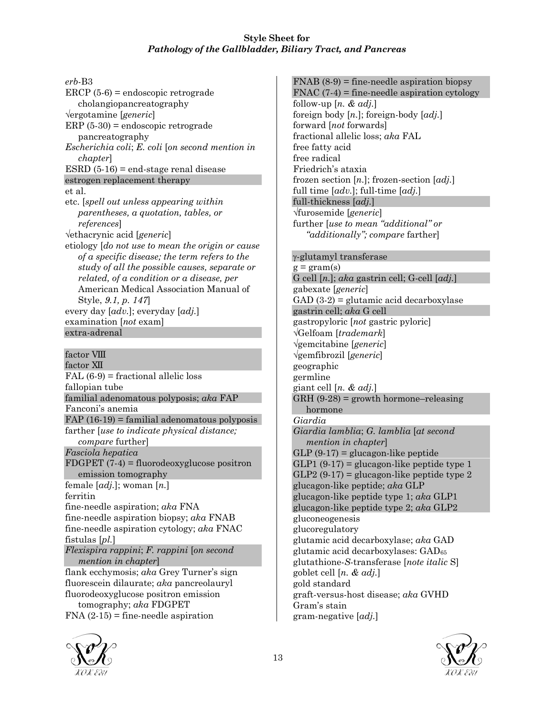*erb*-B3 ERCP (5-6) = endoscopic retrograde cholangiopancreatography √ergotamine [*generic*] ERP (5-30) = endoscopic retrograde pancreatography *Escherichia coli*; *E. coli* [*on second mention in chapter*] ESRD  $(5-16)$  = end-stage renal disease estrogen replacement therapy et al. etc. [*spell out unless appearing within parentheses, a quotation, tables, or references*] √ethacrynic acid [*generic*] etiology [*do not use to mean the origin or cause of a specific disease; the term refers to the study of all the possible causes, separate or related, of a condition or a disease, per* American Medical Association Manual of Style, *9.1, p. 147*] every day [*adv.*]; everyday [*adj.*] examination [*not* exam] extra-adrenal factor VIII

factor XII  $FAL (6-9) = fractional$  allelic loss fallopian tube familial adenomatous polyposis; *aka* FAP Fanconi's anemia FAP  $(16-19)$  = familial adenomatous polyposis farther [*use to indicate physical distance; compare* further] *Fasciola hepatica* FDGPET (7-4) = fluorodeoxyglucose positron emission tomography female [*adj.*]; woman [*n.*] ferritin fine-needle aspiration; *aka* FNA fine-needle aspiration biopsy; *aka* FNAB fine-needle aspiration cytology; *aka* FNAC fistulas [*pl.*] *Flexispira rappini*; *F. rappini* [*on second mention in chapter*] flank ecchymosis; *aka* Grey Turner's sign fluorescein dilaurate; *aka* pancreolauryl fluorodeoxyglucose positron emission tomography; *aka* FDGPET

 $FNA$  (2-15) = fine-needle aspiration



 $FNAB (8-9)$  = fine-needle aspiration biopsy FNAC  $(7-4)$  = fine-needle aspiration cytology follow-up [*n. & adj.*] foreign body [*n.*]; foreign-body [*adj.*] forward [*not* forwards] fractional allelic loss; *aka* FAL free fatty acid free radical Friedrich's ataxia frozen section [*n.*]; frozen-section [*adj.*] full time [*adv.*]; full-time [*adj.*] full-thickness [*adj.*] √furosemide [*generic*] further [*use to mean "additional" or "additionally"; compare* farther]

#### γ-glutamyl transferase

 $g = \text{gram(s)}$ G cell [*n.*]; *aka* gastrin cell; G-cell [*adj.*] gabexate [*generic*] GAD  $(3-2)$  = glutamic acid decarboxylase gastrin cell; *aka* G cell gastropyloric [*not* gastric pyloric] √Gelfoam [*trademark*] √gemcitabine [*generic*] √gemfibrozil [*generic*] geographic germline giant cell [*n. & adj.*]  $GRH$  (9-28) = growth hormone–releasing hormone *Giardia Giardia lamblia*; *G. lamblia* [*at second mention in chapter*]  $GLP(9-17) =$  glucagon-like peptide  $GLP1 (9-17) =$  glucagon-like peptide type 1  $GLP2(9-17) =$  glucagon-like peptide type 2 glucagon-like peptide; *aka* GLP glucagon-like peptide type 1; *aka* GLP1 glucagon-like peptide type 2; *aka* GLP2 gluconeogenesis glucoregulatory glutamic acid decarboxylase; *aka* GAD glutamic acid decarboxylases: GAD65 glutathione-*S*-transferase [*note italic* S] goblet cell [*n. & adj.*] gold standard graft-versus-host disease; *aka* GVHD Gram's stain gram-negative [*adj.*]

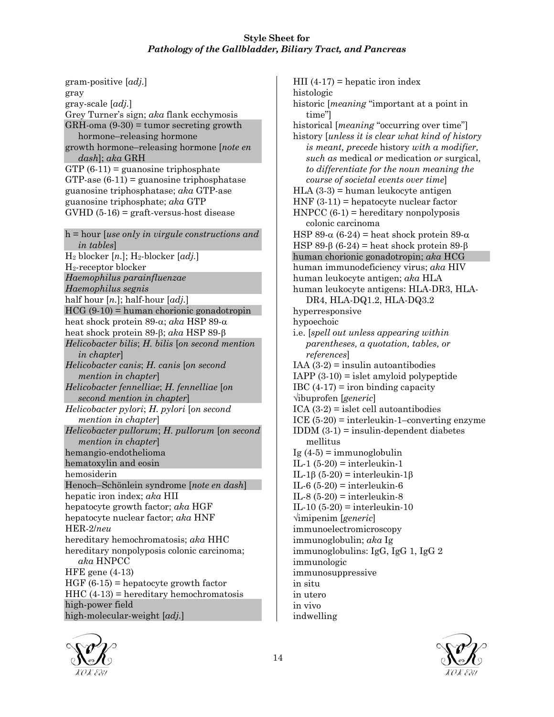gram-positive [*adj.*] gray gray-scale [*adj.*] Grey Turner's sign; *aka* flank ecchymosis  $GRH\text{-}oma (9-30) = tumor secreting growth$ hormone–releasing hormone growth hormone–releasing hormone [*note en dash*]; *aka* GRH  $GTP(6-11) =$  guanosine triphosphate  $GTP$ -ase  $(6-11)$  = guanosine triphosphatase guanosine triphosphatase; *aka* GTP-ase guanosine triphosphate; *aka* GTP  $GVHD$  (5-16) = graft-versus-host disease h = hour [*use only in virgule constructions and in tables*] H2 blocker [*n.*]; H2-blocker [*adj.*] H2-receptor blocker *Haemophilus parainfluenzae Haemophilus segnis* half hour [*n.*]; half-hour [*adj.*]  $HCG (9-10) =$ human chorionic gonadotropin heat shock protein 89-α; *aka* HSP 89-α heat shock protein 89-β; *aka* HSP 89-β *Helicobacter bilis*; *H. bilis* [*on second mention in chapter*] *Helicobacter canis*; *H. canis* [*on second mention in chapter*] *Helicobacter fennelliae*; *H. fennelliae* [*on second mention in chapter*] *Helicobacter pylori*; *H. pylori* [*on second mention in chapter*] *Helicobacter pullorum*; *H. pullorum* [*on second mention in chapter*] hemangio-endothelioma hematoxylin and eosin hemosiderin Henoch–Schönlein syndrome [*note en dash*] hepatic iron index; *aka* HII hepatocyte growth factor; *aka* HGF hepatocyte nuclear factor; *aka* HNF HER-2/*neu* hereditary hemochromatosis; *aka* HHC hereditary nonpolyposis colonic carcinoma; *aka* HNPCC HFE gene (4-13)  $HGF(6-15) = hepatocyte growth factor$  $HHC(4-13)$  = hereditary hemochromatosis high-power field high-molecular-weight [*adj.*]

 $HII$  (4-17) = hepatic iron index histologic historic [*meaning* "important at a point in time"] historical [*meaning* "occurring over time"] history [*unless it is clear what kind of history is meant, precede* history *with a modifier, such as* medical *or* medication *or* surgical*, to differentiate for the noun meaning the course of societal events over time*] HLA (3-3) = human leukocyte antigen  $HNF(3-11) = hepatocyte nuclear factor$  $HNPCC (6-1) = hereditary nonpolyposis$ colonic carcinoma HSP 89- $\alpha$  (6-24) = heat shock protein 89- $\alpha$ HSP 89- $\beta$  (6-24) = heat shock protein 89- $\beta$ human chorionic gonadotropin; *aka* HCG human immunodeficiency virus; *aka* HIV human leukocyte antigen; *aka* HLA human leukocyte antigens: HLA-DR3, HLA-DR4, HLA-DQ1.2, HLA-DQ3.2 hyperresponsive hypoechoic i.e. [*spell out unless appearing within parentheses, a quotation, tables, or references*] IAA  $(3-2)$  = insulin autoantibodies IAPP  $(3-10)$  = islet amyloid polypeptide IBC  $(4-17)$  = iron binding capacity √ibuprofen [*generic*] ICA  $(3-2)$  = islet cell autoantibodies ICE  $(5-20)$  = interleukin-1–converting enzyme IDDM  $(3-1)$  = insulin-dependent diabetes mellitus Ig  $(4-5)$  = immunoglobulin IL-1  $(5-20)$  = interleukin-1 IL-1β (5-20) = interleukin-1β IL-6  $(5-20)$  = interleukin-6 IL-8  $(5-20)$  = interleukin-8 IL-10 (5-20) = interleukin-10 √imipenim [*generic*] immunoelectromicroscopy immunoglobulin; *aka* Ig immunoglobulins: IgG, IgG 1, IgG 2 immunologic immunosuppressive in situ in utero in vivo indwelling



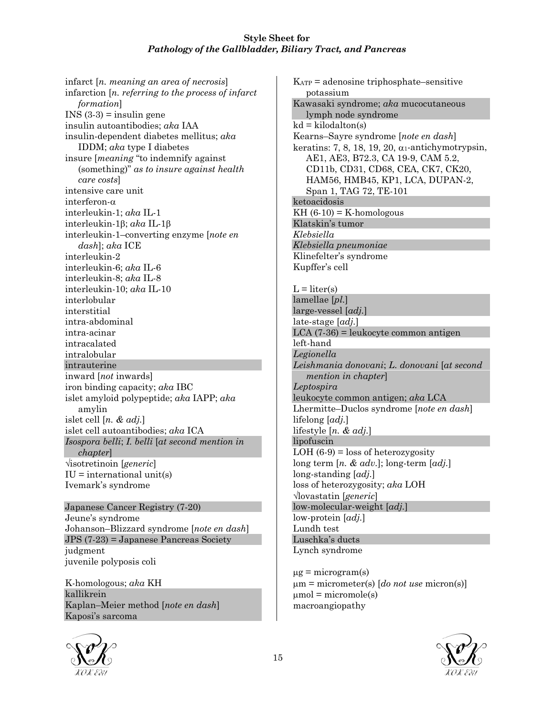infarct [*n. meaning an area of necrosis*] infarction [*n. referring to the process of infarct formation*] INS  $(3-3)$  = insulin gene insulin autoantibodies; *aka* IAA insulin-dependent diabetes mellitus; *aka* IDDM; *aka* type I diabetes insure [*meaning* "to indemnify against (something)" *as to insure against health care costs*] intensive care unit interferon-α interleukin-1; *aka* IL-1 interleukin-1β; *aka* IL-1β interleukin-1–converting enzyme [*note en dash*]; *aka* ICE interleukin-2 interleukin-6; *aka* IL-6 interleukin-8; *aka* IL-8 interleukin-10; *aka* IL-10 interlobular interstitial intra-abdominal intra-acinar intracalated intralobular intrauterine inward [*not* inwards] iron binding capacity; *aka* IBC islet amyloid polypeptide; *aka* IAPP; *aka* amylin islet cell [*n. & adj.*] islet cell autoantibodies; *aka* ICA *Isospora belli*; *I. belli* [*at second mention in chapter*] √isotretinoin [*generic*]  $IU =$  international unit(s) Ivemark's syndrome

Japanese Cancer Registry (7-20) Jeune's syndrome Johanson–Blizzard syndrome [*note en dash*] JPS (7-23) = Japanese Pancreas Society judgment juvenile polyposis coli

K-homologous; *aka* KH kallikrein Kaplan–Meier method [*note en dash*] Kaposi's sarcoma



KATP = adenosine triphosphate–sensitive potassium Kawasaki syndrome; *aka* mucocutaneous lymph node syndrome  $kd = kilodalton(s)$ Kearns–Sayre syndrome [*note en dash*] keratins: 7, 8, 18, 19, 20,  $\alpha_1$ -antichymotrypsin, AE1, AE3, B72.3, CA 19-9, CAM 5.2, CD11b, CD31, CD68, CEA, CK7, CK20, HAM56, HMB45, KP1, LCA, DUPAN-2, Span 1, TAG 72, TE-101 ketoacidosis  $KH(6-10) = K-homologous$ Klatskin's tumor *Klebsiella Klebsiella pneumoniae* Klinefelter's syndrome Kupffer's cell  $L = liter(s)$ lamellae [*pl.*] large-vessel [*adj.*] late-stage [*adj.*] LCA (7-36) = leukocyte common antigen left-hand *Legionella Leishmania donovani*; *L. donovani* [*at second mention in chapter*] *Leptospira* leukocyte common antigen; *aka* LCA Lhermitte–Duclos syndrome [*note en dash*] lifelong [*adj.*] lifestyle [*n. & adj.*] lipofuscin LOH  $(6-9)$  = loss of heterozygosity long term [*n. & adv.*]; long-term [*adj.*] long-standing [*adj.*] loss of heterozygosity; *aka* LOH √lovastatin [*generic*] low-molecular-weight [*adj.*] low-protein [*adj.*] Lundh test Luschka's ducts Lynch syndrome

 $\mu$ g = microgram(s) µm = micrometer(s) [*do not use* micron(s)]  $\mu$ mol = micromole(s) macroangiopathy

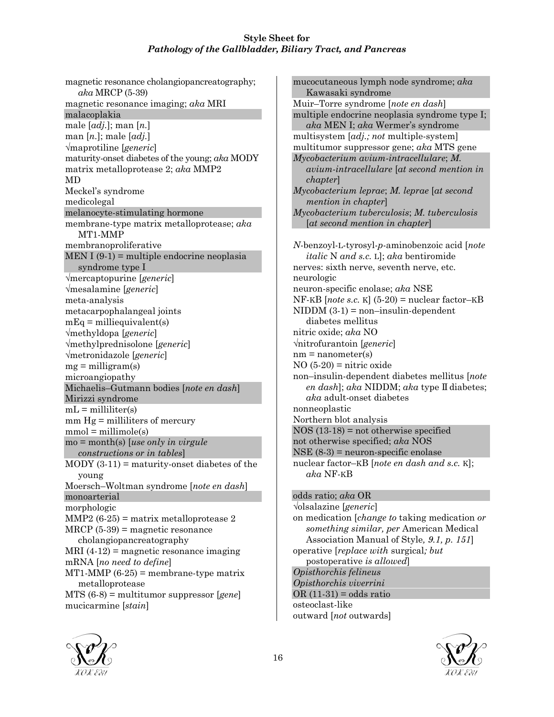magnetic resonance cholangiopancreatography; *aka* MRCP (5-39) magnetic resonance imaging; *aka* MRI malacoplakia male [*adj.*]; man [*n.*] man [*n.*]; male [*adj.*] √maprotiline [*generic*] maturity-onset diabetes of the young; *aka* MODY matrix metalloprotease 2; *aka* MMP2 MD Meckel's syndrome medicolegal melanocyte-stimulating hormone membrane-type matrix metalloprotease; *aka* MT1-MMP membranoproliferative  $MEN I (9-1) = \text{multiple endocrine neoplasia}$ syndrome type I √mercaptopurine [*generic*] √mesalamine [*generic*] meta-analysis metacarpophalangeal joints  $mEq =$  milliequivalent(s) √methyldopa [*generic*] √methylprednisolone [*generic*] √metronidazole [*generic*]  $mg =$  milligram(s) microangiopathy Michaelis–Gutmann bodies [*note en dash*] Mirizzi syndrome  $mL =$  milliliter(s) mm Hg = milliliters of mercury  $mmol = millimole(s)$ mo = month(s) [*use only in virgule constructions or in tables*]  $MODY(3-11) =$  maturity-onset diabetes of the young Moersch–Woltman syndrome [*note en dash*] monoarterial morphologic MMP2  $(6-25)$  = matrix metalloprotease 2 MRCP (5-39) = magnetic resonance cholangiopancreatography  $MRI (4-12) = magnetic resonance imaging$ mRNA [*no need to define*]  $MT1-MMP (6-25) =$  membrane-type matrix metalloprotease MTS (6-8) = multitumor suppressor [*gene*] mucicarmine [*stain*]

mucocutaneous lymph node syndrome; *aka* Kawasaki syndrome Muir–Torre syndrome [*note en dash*] multiple endocrine neoplasia syndrome type I; *aka* MEN I; *aka* Wermer's syndrome multisystem [*adj.; not* multiple-system] multitumor suppressor gene; *aka* MTS gene *Mycobacterium avium-intracellulare*; *M. avium-intracellulare* [*at second mention in chapter*] *Mycobacterium leprae*; *M. leprae* [*at second mention in chapter*] *Mycobacterium tuberculosis*; *M. tuberculosis* [*at second mention in chapter*] *N*-benzoyl-L-tyrosyl-*p*-aminobenzoic acid [*note italic* N *and s.c.* L]; *aka* bentiromide nerves: sixth nerve, seventh nerve, etc. neurologic neuron-specific enolase; *aka* NSE  $NF-KB$  [*note s.c.* K] (5-20) = nuclear factor–KB  $NIDDM(3-1) = non-insulin-dependent$ diabetes mellitus nitric oxide; *aka* NO √nitrofurantoin [*generic*]  $nm =$  nanometer(s)  $NO (5-20) =$ nitric oxide non–insulin-dependent diabetes mellitus [*note en dash*]; *aka* NIDDM; *aka* type II diabetes; *aka* adult-onset diabetes nonneoplastic Northern blot analysis NOS (13-18) = not otherwise specified not otherwise specified; *aka* NOS NSE (8-3) = neuron-specific enolase nuclear factor–KB [*note en dash and s.c.* K]; *aka* NF-KB odds ratio; *aka* OR √olsalazine [*generic*] on medication [*change to* taking medication *or something similar, per* American Medical Association Manual of Style*, 9.1, p. 151*] operative [*replace with* surgical*; but* postoperative *is allowed*] *Opisthorchis felineus Opisthorchis viverrini*  $OR(11-31) = odds ratio$ osteoclast-like





outward [*not* outwards]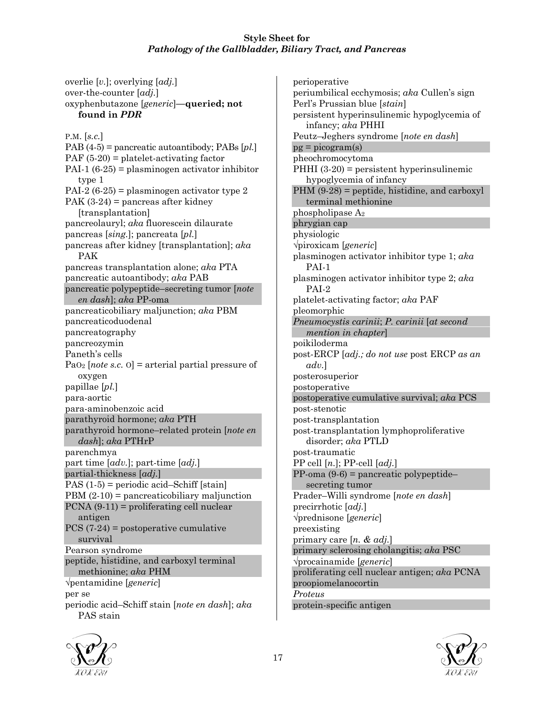over-the-counter [*adj.*] oxyphenbutazone [*generic*]**—queried; not found in** *PDR* P.M. [*s.c.*] PAB (4-5) = pancreatic autoantibody; PABs [*pl.*] PAF (5-20) = platelet-activating factor PAI-1 (6-25) = plasminogen activator inhibitor type 1 PAI-2 (6-25) = plasminogen activator type 2 PAK  $(3-24)$  = pancreas after kidney [transplantation] pancreolauryl; *aka* fluorescein dilaurate pancreas [*sing.*]; pancreata [*pl.*] pancreas after kidney [transplantation]; *aka* PAK pancreas transplantation alone; *aka* PTA pancreatic autoantibody; *aka* PAB pancreatic polypeptide–secreting tumor [*note en dash*]; *aka* PP-oma pancreaticobiliary maljunction; *aka* PBM pancreaticoduodenal pancreatography pancreozymin Paneth's cells PaO2 [*note s.c.* O] = arterial partial pressure of oxygen papillae [*pl.*] para-aortic para-aminobenzoic acid parathyroid hormone; *aka* PTH parathyroid hormone–related protein [*note en dash*]; *aka* PTHrP parenchmya part time [*adv.*]; part-time [*adj.*] partial-thickness [*adj.*] PAS (1-5) = periodic acid–Schiff [stain] PBM (2-10) = pancreaticobiliary maljunction PCNA (9-11) = proliferating cell nuclear antigen PCS (7-24) = postoperative cumulative survival Pearson syndrome peptide, histidine, and carboxyl terminal methionine; *aka* PHM √pentamidine [*generic*] per se periodic acid–Schiff stain [*note en dash*]; *aka* PAS stain

overlie [*v.*]; overlying [*adj.*]

perioperative periumbilical ecchymosis; *aka* Cullen's sign Perl's Prussian blue [*stain*] persistent hyperinsulinemic hypoglycemia of infancy; *aka* PHHI Peutz–Jeghers syndrome [*note en dash*]  $pg = picogram(s)$ pheochromocytoma PHHI (3-20) = persistent hyperinsulinemic hypoglycemia of infancy PHM (9-28) = peptide, histidine, and carboxyl terminal methionine phospholipase A2 phrygian cap physiologic √piroxicam [*generic*] plasminogen activator inhibitor type 1; *aka* PAI-1 plasminogen activator inhibitor type 2; *aka* PAI-2 platelet-activating factor; *aka* PAF pleomorphic *Pneumocystis carinii*; *P. carinii* [*at second mention in chapter*] poikiloderma post-ERCP [*adj.; do not use* post ERCP *as an adv.*] posterosuperior postoperative postoperative cumulative survival; *aka* PCS post-stenotic post-transplantation post-transplantation lymphoproliferative disorder; *aka* PTLD post-traumatic PP cell [*n.*]; PP-cell [*adj.*] PP-oma (9-6) = pancreatic polypeptide– secreting tumor Prader–Willi syndrome [*note en dash*] precirrhotic [*adj.*] √prednisone [*generic*] preexisting primary care [*n. & adj.*] primary sclerosing cholangitis; *aka* PSC √procainamide [*generic*] proliferating cell nuclear antigen; *aka* PCNA proopiomelanocortin *Proteus* protein-specific antigen



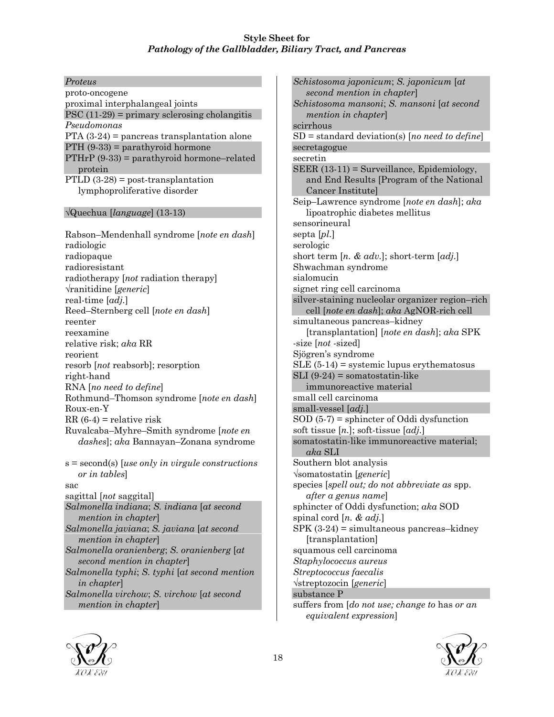*Proteus* proto-oncogene proximal interphalangeal joints PSC  $(11-29)$  = primary sclerosing cholangitis *Pseudomonas* PTA  $(3-24)$  = pancreas transplantation alone PTH  $(9-33)$  = parathyroid hormone  $PTHrP (9-33) =$  parathyroid hormone–related protein PTLD  $(3-28)$  = post-transplantation lymphoproliferative disorder

#### √Quechua [*language*] (13-13)

Rabson–Mendenhall syndrome [*note en dash*] radiologic radiopaque radioresistant radiotherapy [*not* radiation therapy] √ranitidine [*generic*] real-time [*adj.*] Reed–Sternberg cell [*note en dash*] reenter reexamine relative risk; *aka* RR reorient resorb [*not* reabsorb]; resorption right-hand RNA [*no need to define*] Rothmund–Thomson syndrome [*note en dash*] Roux-en-Y  $RR(6-4) =$  relative risk Ruvalcaba–Myhre–Smith syndrome [*note en dashes*]; *aka* Bannayan–Zonana syndrome s = second(s) [*use only in virgule constructions or in tables*] sac sagittal [*not* saggital] *Salmonella indiana*; *S. indiana* [*at second mention in chapter*] *Salmonella javiana*; *S. javiana* [*at second mention in chapter*] *Salmonella oranienberg*; *S. oranienberg* [*at second mention in chapter*] *Salmonella typhi*; *S. typhi* [*at second mention in chapter*] *Salmonella virchow*; *S. virchow* [*at second mention in chapter*]

*Schistosoma japonicum*; *S. japonicum* [*at second mention in chapter*] *Schistosoma mansoni*; *S. mansoni* [*at second mention in chapter*] scirrhous SD = standard deviation(s) [*no need to define*] secretagogue secretin SEER (13-11) = Surveillance, Epidemiology, and End Results [Program of the National Cancer Institute] Seip–Lawrence syndrome [*note en dash*]; *aka* lipoatrophic diabetes mellitus sensorineural septa [*pl.*] serologic short term [*n. & adv.*]; short-term [*adj.*] Shwachman syndrome sialomucin signet ring cell carcinoma silver-staining nucleolar organizer region–rich cell [*note en dash*]; *aka* AgNOR-rich cell simultaneous pancreas–kidney [transplantation] [*note en dash*]; *aka* SPK -size [*not* -sized] Sjögren's syndrome  $SLE$  (5-14) = systemic lupus erythematosus  $SLI$  (9-24) = somatostatin-like immunoreactive material small cell carcinoma small-vessel [*adj.*] SOD (5-7) = sphincter of Oddi dysfunction soft tissue [*n.*]; soft-tissue [*adj.*] somatostatin-like immunoreactive material; *aka* SLI Southern blot analysis √somatostatin [*generic*] species [*spell out; do not abbreviate as* spp. *after a genus name*] sphincter of Oddi dysfunction; *aka* SOD spinal cord [*n. & adj.*]  $SPK (3-24) =$  simultaneous pancreas–kidney [transplantation] squamous cell carcinoma *Staphylococcus aureus Streptococcus faecalis* √streptozocin [*generic*] substance P suffers from [*do not use; change to* has *or an*





*equivalent expression*]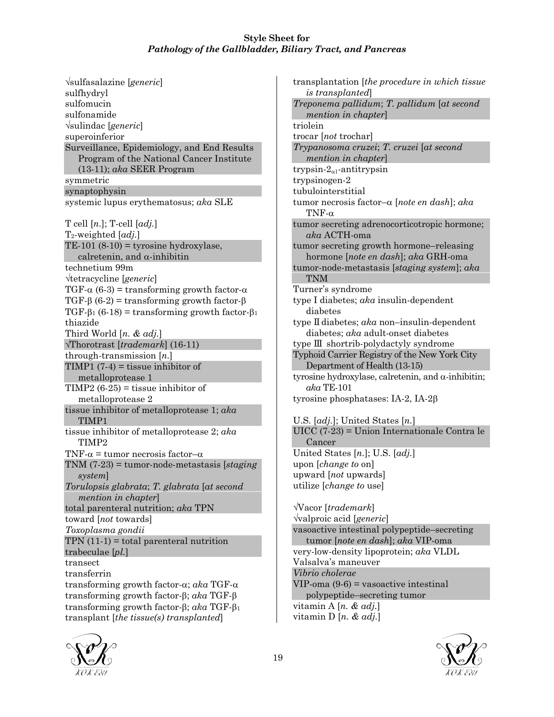√sulfasalazine [*generic*] sulfhydryl sulfomucin sulfonamide √sulindac [*generic*] superoinferior Surveillance, Epidemiology, and End Results Program of the National Cancer Institute (13-11); *aka* SEER Program symmetric synaptophysin systemic lupus erythematosus; *aka* SLE T cell [*n.*]; T-cell [*adj.*] T2-weighted [*adj.*] TE-101  $(8-10)$  = tyrosine hydroxylase, calretenin, and  $\alpha$ -inhibitin technetium 99m √tetracycline [*generic*] TGF- $\alpha$  (6-3) = transforming growth factor- $\alpha$ TGF-β (6-2) = transforming growth factor-β TGF-β<sub>1</sub> (6-18) = transforming growth factor-β<sub>1</sub> thiazide Third World [*n. & adj.*] √Thorotrast [*trademark*] (16-11) through-transmission [*n.*] TIMP1  $(7-4)$  = tissue inhibitor of metalloprotease 1 TIMP2  $(6-25)$  = tissue inhibitor of metalloprotease 2 tissue inhibitor of metalloprotease 1; *aka* TIMP1 tissue inhibitor of metalloprotease 2; *aka* TIMP2 TNF- $\alpha$  = tumor necrosis factor- $\alpha$ TNM (7-23) = tumor-node-metastasis [*staging system*] *Torulopsis glabrata*; *T. glabrata* [*at second mention in chapter*] total parenteral nutrition; *aka* TPN toward [*not* towards] *Toxoplasma gondii*  $TPN(11-1) = total parenteral nutrition$ trabeculae [*pl.*] transect transferrin transforming growth factor-α; *aka* TGF-α transforming growth factor-β; *aka* TGF-β transforming growth factor-β; *aka* TGF-β<sup>1</sup> transplant [*the tissue(s) transplanted*]

transplantation [*the procedure in which tissue is transplanted*] *Treponema pallidum*; *T. pallidum* [*at second mention in chapter*] triolein trocar [*not* trochar] *Trypanosoma cruzei*; *T. cruzei* [*at second mention in chapter*] trypsin- $2_{\alpha 1}$ -antitrypsin trypsinogen-2 tubulointerstitial tumor necrosis factor–α [*note en dash*]; *aka* TNF-α tumor secreting adrenocorticotropic hormone; *aka* ACTH-oma tumor secreting growth hormone–releasing hormone [*note en dash*]; *aka* GRH-oma tumor-node-metastasis [*staging system*]; *aka* TNM Turner's syndrome type I diabetes; *aka* insulin-dependent diabetes type II diabetes; *aka* non–insulin-dependent diabetes; *aka* adult-onset diabetes type III shortrib-polydactyly syndrome Typhoid Carrier Registry of the New York City Department of Health (13-15) tyrosine hydroxylase, calretenin, and α-inhibitin; *aka* TE-101 tyrosine phosphatases: IA-2, IA-2β U.S. [*adj.*]; United States [*n.*] UICC (7-23) = Union Internationale Contra le Cancer United States [*n.*]; U.S. [*adj.*] upon [*change to* on] upward [*not* upwards] utilize [*change to* use] √Vacor [*trademark*] √valproic acid [*generic*] vasoactive intestinal polypeptide–secreting tumor [*note en dash*]; *aka* VIP-oma very-low-density lipoprotein; *aka* VLDL Valsalva's maneuver *Vibrio cholerae* VIP-oma (9-6) = vasoactive intestinal polypeptide–secreting tumor vitamin A [*n. & adj.*]

vitamin D [*n. & adj.*]

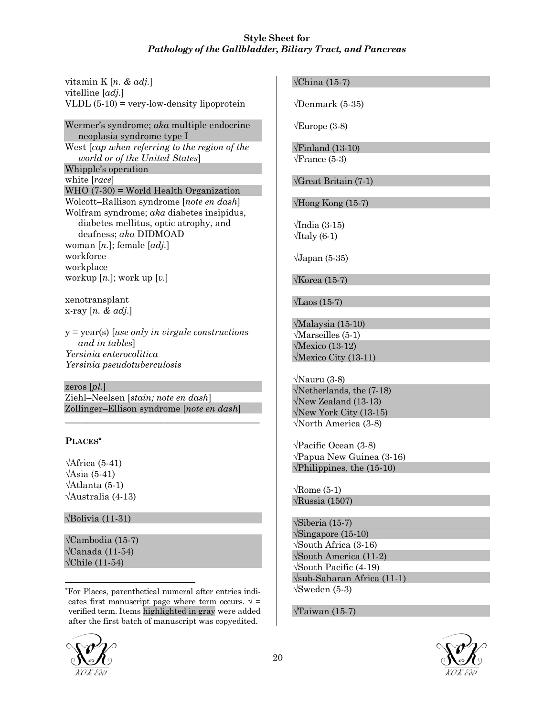vitamin K [*n. & adj.*] vitelline [*adj.*] VLDL  $(5-10)$  = very-low-density lipoprotein

Wermer's syndrome; *aka* multiple endocrine neoplasia syndrome type I West [*cap when referring to the region of the world or of the United States*] Whipple's operation white [*race*] WHO (7-30) = World Health Organization Wolcott–Rallison syndrome [*note en dash*] Wolfram syndrome; *aka* diabetes insipidus, diabetes mellitus, optic atrophy, and deafness; *aka* DIDMOAD woman [*n.*]; female [*adj.*] workforce workplace workup [*n.*]; work up [*v.*]

xenotransplant x-ray [*n. & adj.*]

y = year(s) [*use only in virgule constructions and in tables*] *Yersinia enterocolitica Yersinia pseudotuberculosis*

zeros [*pl.*] Ziehl–Neelsen [*stain; note en dash*] Zollinger–Ellison syndrome [*note en dash*]

\_\_\_\_\_\_\_\_\_\_\_\_\_\_\_\_\_\_\_\_\_\_\_\_\_\_\_\_\_\_\_\_\_\_\_\_\_\_\_\_\_\_\_

## **PLACES\***

 $\sqrt{\text{African (5-41)}}$  $\sqrt{\text{Asia (5-41)}}$ √Atlanta (5-1) √Australia (4-13)

√Bolivia (11-31)

√Cambodia (15-7)  $\sqrt{\text{Canada} (11-54)}$  $\sqrt{\text{Chile} (11-54)}$ 

\*For Places, parenthetical numeral after entries indicates first manuscript page where term occurs.  $\sqrt{ } =$ verified term. Items highlighted in gray were added after the first batch of manuscript was copyedited.

# $\sqrt{\text{China (15-7)}}$

√Denmark (5-35)

 $\sqrt{\text{Europe}}$  (3-8)

√Finland (13-10)  $\sqrt{\text{France}}$  (5-3)

√Great Britain (7-1)

 $\sqrt{H}$ ong Kong (15-7)

 $\sqrt{1}$ ndia (3-15)  $\sqrt{1}$ taly (6-1)

 $\sqrt{\text{Japan} (5-35)}$ 

√Korea (15-7)

 $\sqrt{\text{Laos}}(15-7)$ 

√Malaysia (15-10) √Marseilles (5-1) √Mexico (13-12) √Mexico City (13-11)

√Nauru (3-8) √Netherlands, the (7-18) √New Zealand (13-13) √New York City (13-15) √North America (3-8)

√Pacific Ocean (3-8) √Papua New Guinea (3-16)  $\sqrt{\text{Philippines}}$ , the (15-10)

 $\sqrt{\text{Rome}}$  (5-1) √Russia (1507)

√Siberia (15-7) √Singapore (15-10) √South Africa (3-16) √South America (11-2) √South Pacific (4-19) √sub-Saharan Africa (11-1)  $\sqrt{\text{Sweden}}$  (5-3)

√Taiwan (15-7)





l